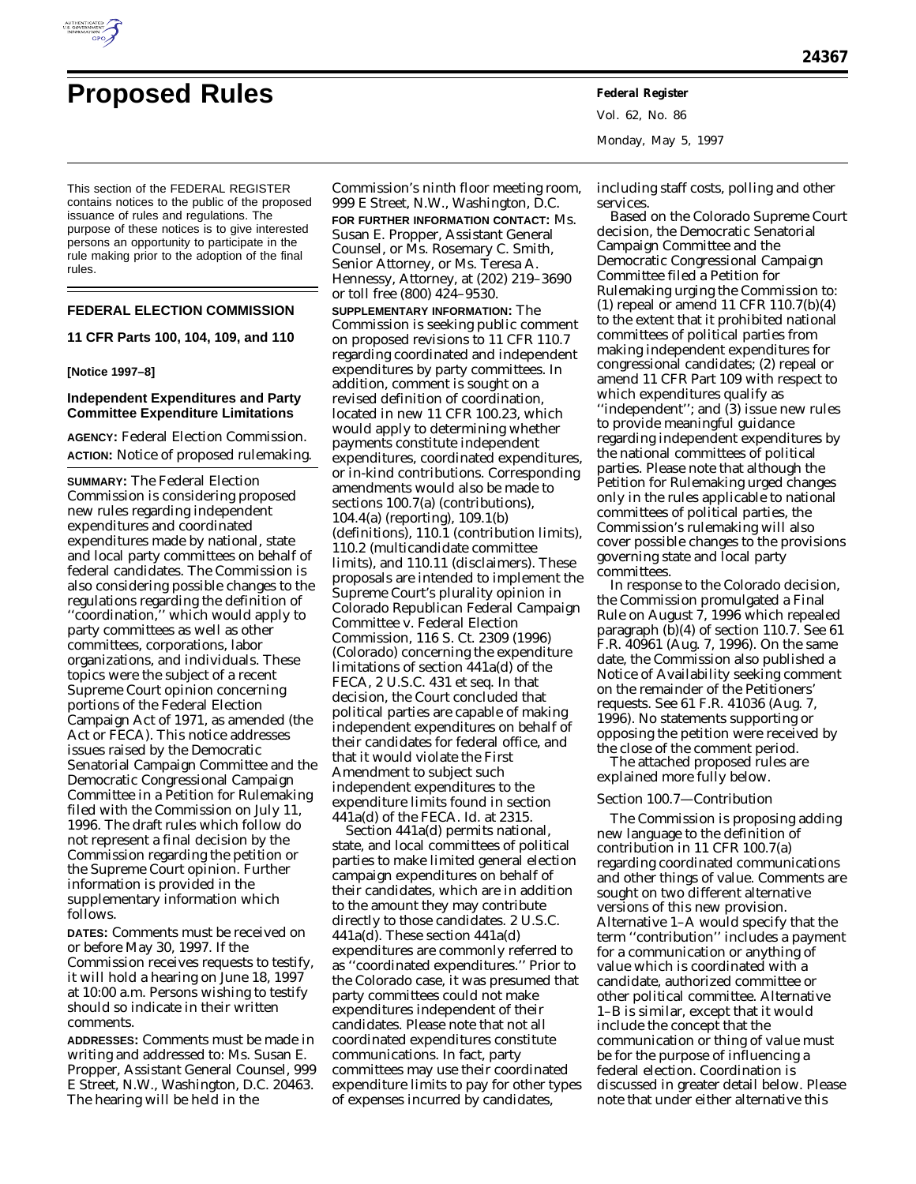

# **Proposed Rules Federal Register**

This section of the FEDERAL REGISTER contains notices to the public of the proposed issuance of rules and regulations. The purpose of these notices is to give interested persons an opportunity to participate in the rule making prior to the adoption of the final rules.

#### **FEDERAL ELECTION COMMISSION**

**11 CFR Parts 100, 104, 109, and 110**

#### **[Notice 1997–8]**

# **Independent Expenditures and Party Committee Expenditure Limitations**

**AGENCY:** Federal Election Commission. **ACTION:** Notice of proposed rulemaking.

**SUMMARY:** The Federal Election Commission is considering proposed new rules regarding independent expenditures and coordinated expenditures made by national, state and local party committees on behalf of federal candidates. The Commission is also considering possible changes to the regulations regarding the definition of ''coordination,'' which would apply to party committees as well as other committees, corporations, labor organizations, and individuals. These topics were the subject of a recent Supreme Court opinion concerning portions of the Federal Election Campaign Act of 1971, as amended (the Act or FECA). This notice addresses issues raised by the Democratic Senatorial Campaign Committee and the Democratic Congressional Campaign Committee in a Petition for Rulemaking filed with the Commission on July 11, 1996. The draft rules which follow do not represent a final decision by the Commission regarding the petition or the Supreme Court opinion. Further information is provided in the supplementary information which follows.

**DATES:** Comments must be received on or before May 30, 1997. If the Commission receives requests to testify, it will hold a hearing on June 18, 1997 at 10:00 a.m. Persons wishing to testify should so indicate in their written comments.

**ADDRESSES:** Comments must be made in writing and addressed to: Ms. Susan E. Propper, Assistant General Counsel, 999 E Street, N.W., Washington, D.C. 20463. The hearing will be held in the

Commission's ninth floor meeting room, 999 E Street, N.W., Washington, D.C. **FOR FURTHER INFORMATION CONTACT:** Ms. Susan E. Propper, Assistant General Counsel, or Ms. Rosemary C. Smith, Senior Attorney, or Ms. Teresa A. Hennessy, Attorney, at (202) 219–3690 or toll free (800) 424–9530. **SUPPLEMENTARY INFORMATION:** The Commission is seeking public comment on proposed revisions to 11 CFR 110.7 regarding coordinated and independent expenditures by party committees. In addition, comment is sought on a revised definition of coordination, located in new 11 CFR 100.23, which would apply to determining whether payments constitute independent expenditures, coordinated expenditures, or in-kind contributions. Corresponding amendments would also be made to sections 100.7(a) (contributions), 104.4(a) (reporting), 109.1(b) (definitions), 110.1 (contribution limits), 110.2 (multicandidate committee limits), and 110.11 (disclaimers). These proposals are intended to implement the Supreme Court's plurality opinion in *Colorado Republican Federal Campaign Committee* v. *Federal Election Commission*, 116 S. Ct. 2309 (1996) (*Colorado*) concerning the expenditure limitations of section 441a(d) of the FECA, 2 U.S.C. 431 *et seq.* In that decision, the Court concluded that political parties are capable of making independent expenditures on behalf of their candidates for federal office, and that it would violate the First Amendment to subject such independent expenditures to the expenditure limits found in section 441a(d) of the FECA. *Id.* at 2315.

Section 441a(d) permits national, state, and local committees of political parties to make limited general election campaign expenditures on behalf of their candidates, which are in addition to the amount they may contribute directly to those candidates. 2 U.S.C. 441a(d). These section 441a(d) expenditures are commonly referred to as ''coordinated expenditures.'' Prior to the *Colorado* case, it was presumed that party committees could not make expenditures independent of their candidates. Please note that not all coordinated expenditures constitute communications. In fact, party committees may use their coordinated expenditure limits to pay for other types of expenses incurred by candidates,

Vol. 62, No. 86 Monday, May 5, 1997

including staff costs, polling and other services.

Based on the *Colorado* Supreme Court decision, the Democratic Senatorial Campaign Committee and the Democratic Congressional Campaign Committee filed a Petition for Rulemaking urging the Commission to: (1) repeal or amend 11 CFR 110.7(b)(4) to the extent that it prohibited national committees of political parties from making independent expenditures for congressional candidates; (2) repeal or amend 11 CFR Part 109 with respect to which expenditures qualify as ''independent''; and (3) issue new rules to provide meaningful guidance regarding independent expenditures by the national committees of political parties. Please note that although the Petition for Rulemaking urged changes only in the rules applicable to national committees of political parties, the Commission's rulemaking will also cover possible changes to the provisions governing state and local party committees.

In response to the *Colorado* decision, the Commission promulgated a Final Rule on August 7, 1996 which repealed paragraph (b)(4) of section 110.7. *See* 61 F.R. 40961 (Aug. 7, 1996). On the same date, the Commission also published a Notice of Availability seeking comment on the remainder of the Petitioners' requests. *See* 61 F.R. 41036 (Aug. 7, 1996). No statements supporting or opposing the petition were received by the close of the comment period.

The attached proposed rules are explained more fully below.

#### *Section 100.7—Contribution*

The Commission is proposing adding new language to the definition of contribution in 11 CFR 100.7(a) regarding coordinated communications and other things of value. Comments are sought on two different alternative versions of this new provision. Alternative 1–A would specify that the term ''contribution'' includes a payment for a communication or anything of value which is coordinated with a candidate, authorized committee or other political committee. Alternative 1–B is similar, except that it would include the concept that the communication or thing of value must be for the purpose of influencing a federal election. Coordination is discussed in greater detail below. Please note that under either alternative this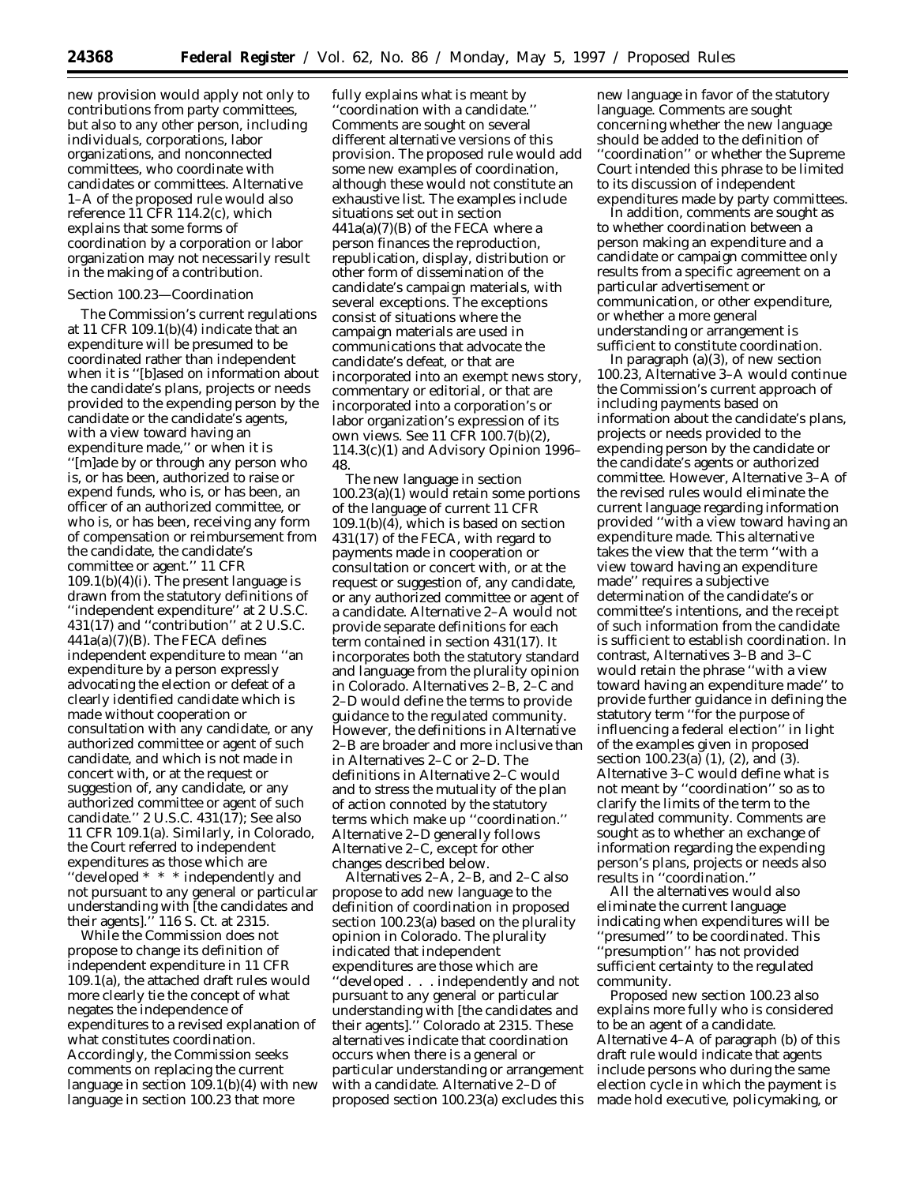new provision would apply not only to contributions from party committees, but also to any other person, including individuals, corporations, labor organizations, and nonconnected committees, who coordinate with candidates or committees. Alternative 1–A of the proposed rule would also reference 11 CFR 114.2(c), which explains that some forms of coordination by a corporation or labor organization may not necessarily result in the making of a contribution.

# *Section 100.23—Coordination*

The Commission's current regulations at 11 CFR 109.1(b)(4) indicate that an expenditure will be presumed to be coordinated rather than independent when it is ''[b]ased on information about the candidate's plans, projects or needs provided to the expending person by the candidate or the candidate's agents, with a view toward having an expenditure made,'' or when it is ''[m]ade by or through any person who is, or has been, authorized to raise or expend funds, who is, or has been, an officer of an authorized committee, or who is, or has been, receiving any form of compensation or reimbursement from the candidate, the candidate's committee or agent.'' 11 CFR  $109.1(b)(4)(i)$ . The present language is drawn from the statutory definitions of ''independent expenditure'' at 2 U.S.C.  $431(17)$  and "contribution" at 2 U.S.C. 441a(a)(7)(B). The FECA defines independent expenditure to mean ''an expenditure by a person expressly advocating the election or defeat of a clearly identified candidate which is made without cooperation or consultation with any candidate, or any authorized committee or agent of such candidate, and which is not made in concert with, or at the request or suggestion of, any candidate, or any authorized committee or agent of such candidate.'' 2 U.S.C. 431(17); *See also* 11 CFR 109.1(a). Similarly, in *Colorado*, the Court referred to independent expenditures as those which are ''developed \* \* \* independently and not pursuant to any general or particular understanding with [the candidates and their agents].'' 116 S. Ct. at 2315.

While the Commission does not propose to change its definition of independent expenditure in 11 CFR 109.1(a), the attached draft rules would more clearly tie the concept of what negates the independence of expenditures to a revised explanation of what constitutes coordination. Accordingly, the Commission seeks comments on replacing the current language in section 109.1(b)(4) with new language in section 100.23 that more

fully explains what is meant by ''coordination with a candidate.'' Comments are sought on several different alternative versions of this provision. The proposed rule would add some new examples of coordination, although these would not constitute an exhaustive list. The examples include situations set out in section  $441a(a)(7)(B)$  of the FECA where a person finances the reproduction, republication, display, distribution or other form of dissemination of the candidate's campaign materials, with several exceptions. The exceptions consist of situations where the campaign materials are used in communications that advocate the candidate's defeat, or that are incorporated into an exempt news story, commentary or editorial, or that are incorporated into a corporation's or labor organization's expression of its own views. *See* 11 CFR 100.7(b)(2), 114.3(c)(1) and Advisory Opinion 1996– 48.

The new language in section 100.23(a)(1) would retain some portions of the language of current 11 CFR 109.1(b)(4), which is based on section 431(17) of the FECA, with regard to payments made in cooperation or consultation or concert with, or at the request or suggestion of, any candidate, or any authorized committee or agent of a candidate. Alternative 2–A would not provide separate definitions for each term contained in section 431(17). It incorporates both the statutory standard and language from the plurality opinion in *Colorado.* Alternatives 2–B, 2–C and 2–D would define the terms to provide guidance to the regulated community. However, the definitions in Alternative 2–B are broader and more inclusive than in Alternatives 2–C or 2–D. The definitions in Alternative 2–C would and to stress the mutuality of the plan of action connoted by the statutory terms which make up ''coordination.'' Alternative 2–D generally follows Alternative 2–C, except for other changes described below.

Alternatives 2–A, 2–B, and 2–C also propose to add new language to the definition of coordination in proposed section 100.23(a) based on the plurality opinion in *Colorado.* The plurality indicated that independent expenditures are those which are ''developed . . . independently and not pursuant to any general or particular understanding with [the candidates and their agents].'' *Colorado* at 2315. These alternatives indicate that coordination occurs when there is a general or particular understanding or arrangement with a candidate. Alternative 2–D of proposed section 100.23(a) excludes this

new language in favor of the statutory language. Comments are sought concerning whether the new language should be added to the definition of ''coordination'' or whether the Supreme Court intended this phrase to be limited to its discussion of independent expenditures made by party committees.

In addition, comments are sought as to whether coordination between a person making an expenditure and a candidate or campaign committee only results from a specific agreement on a particular advertisement or communication, or other expenditure, or whether a more general understanding or arrangement is sufficient to constitute coordination.

In paragraph  $(a)(3)$ , of new section 100.23, Alternative 3–A would continue the Commission's current approach of including payments based on information about the candidate's plans, projects or needs provided to the expending person by the candidate or the candidate's agents or authorized committee. However, Alternative 3–A of the revised rules would eliminate the current language regarding information provided ''with a view toward having an expenditure made. This alternative takes the view that the term ''with a view toward having an expenditure made'' requires a subjective determination of the candidate's or committee's intentions, and the receipt of such information from the candidate is sufficient to establish coordination. In contrast, Alternatives 3–B and 3–C would retain the phrase ''with a view toward having an expenditure made'' to provide further guidance in defining the statutory term ''for the purpose of influencing a federal election'' in light of the examples given in proposed section 100.23(a) (1), (2), and (3). Alternative 3–C would define what is not meant by ''coordination'' so as to clarify the limits of the term to the regulated community. Comments are sought as to whether an exchange of information regarding the expending person's plans, projects or needs also results in ''coordination.''

All the alternatives would also eliminate the current language indicating when expenditures will be ''presumed'' to be coordinated. This ''presumption'' has not provided sufficient certainty to the regulated community.

Proposed new section 100.23 also explains more fully who is considered to be an agent of a candidate. Alternative 4–A of paragraph (b) of this draft rule would indicate that agents include persons who during the same election cycle in which the payment is made hold executive, policymaking, or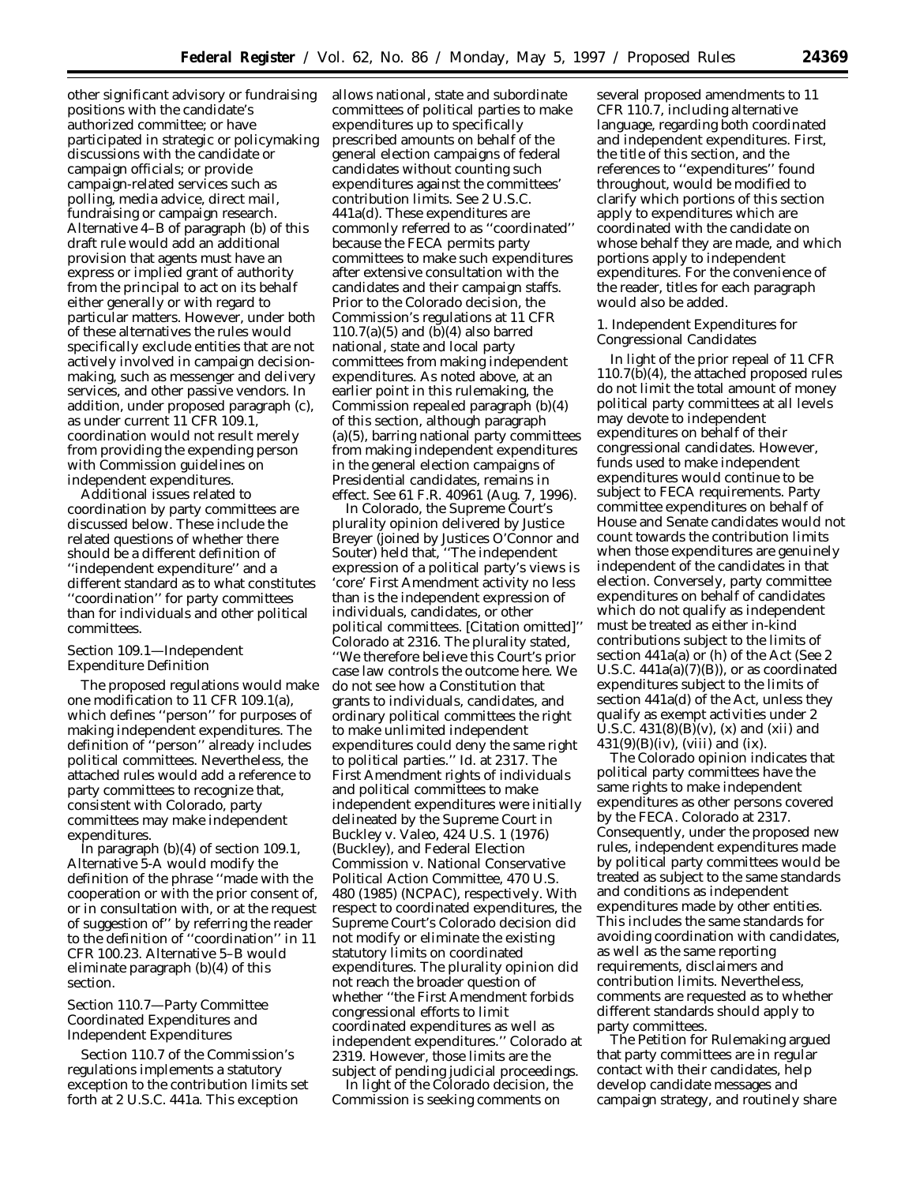other significant advisory or fundraising positions with the candidate's authorized committee; or have participated in strategic or policymaking discussions with the candidate or campaign officials; or provide campaign-related services such as polling, media advice, direct mail, fundraising or campaign research. Alternative 4–B of paragraph (b) of this draft rule would add an additional provision that agents must have an express or implied grant of authority from the principal to act on its behalf either generally or with regard to particular matters. However, under both of these alternatives the rules would specifically exclude entities that are not actively involved in campaign decisionmaking, such as messenger and delivery services, and other passive vendors. In addition, under proposed paragraph (c), as under current 11 CFR 109.1, coordination would not result merely from providing the expending person with Commission guidelines on independent expenditures.

Additional issues related to coordination by party committees are discussed below. These include the related questions of whether there should be a different definition of ''independent expenditure'' and a different standard as to what constitutes ''coordination'' for party committees than for individuals and other political committees.

#### *Section 109.1—Independent Expenditure Definition*

The proposed regulations would make one modification to 11 CFR 109.1(a), which defines ''person'' for purposes of making independent expenditures. The definition of ''person'' already includes political committees. Nevertheless, the attached rules would add a reference to party committees to recognize that, consistent with *Colorado*, party committees may make independent expenditures.

In paragraph  $(b)(4)$  of section 109.1, Alternative 5-A would modify the definition of the phrase ''made with the cooperation or with the prior consent of, or in consultation with, or at the request of suggestion of'' by referring the reader to the definition of ''coordination'' in 11 CFR 100.23. Alternative 5–B would eliminate paragraph (b)(4) of this section.

# *Section 110.7—Party Committee Coordinated Expenditures and Independent Expenditures*

Section 110.7 of the Commission's regulations implements a statutory exception to the contribution limits set forth at 2 U.S.C. 441a. This exception

allows national, state and subordinate committees of political parties to make expenditures up to specifically prescribed amounts on behalf of the general election campaigns of federal candidates without counting such expenditures against the committees' contribution limits. *See* 2 U.S.C. 441a(d). These expenditures are commonly referred to as ''coordinated'' because the FECA permits party committees to make such expenditures after extensive consultation with the candidates and their campaign staffs. Prior to the *Colorado* decision, the Commission's regulations at 11 CFR  $110.7(a)(5)$  and  $(b)(4)$  also barred national, state and local party committees from making independent expenditures. As noted above, at an earlier point in this rulemaking, the Commission repealed paragraph (b)(4) of this section, although paragraph (a)(5), barring national party committees from making independent expenditures in the general election campaigns of Presidential candidates, remains in effect. See 61 F.R. 40961 (Aug. 7, 1996).

In *Colorado,* the Supreme Court's plurality opinion delivered by Justice Breyer (joined by Justices O'Connor and Souter) held that, ''The independent expression of a political party's views is 'core' First Amendment activity no less than is the independent expression of individuals, candidates, or other political committees. [Citation omitted]'' *Colorado* at 2316. The plurality stated, ''We therefore believe this Court's prior case law controls the outcome here. We do not see how a Constitution that grants to individuals, candidates, and ordinary political committees the right to make unlimited independent expenditures could deny the same right to political parties.'' *Id.* at 2317. The First Amendment rights of individuals and political committees to make independent expenditures were initially delineated by the Supreme Court in *Buckley* v. *Valeo*, 424 U.S. 1 (1976) (*Buckley*), and *Federal Election Commission* v. *National Conservative Political Action Committee*, 470 U.S. 480 (1985) (*NCPAC*), respectively. With respect to coordinated expenditures, the Supreme Court's *Colorado* decision did not modify or eliminate the existing statutory limits on coordinated expenditures. The plurality opinion did not reach the broader question of whether ''the First Amendment forbids congressional efforts to limit coordinated expenditures as well as independent expenditures.'' *Colorado* at 2319. However, those limits are the subject of pending judicial proceedings.

In light of the *Colorado* decision, the Commission is seeking comments on

several proposed amendments to 11 CFR 110.7, including alternative language, regarding both coordinated and independent expenditures. First, the title of this section, and the references to ''expenditures'' found throughout, would be modified to clarify which portions of this section apply to expenditures which are coordinated with the candidate on whose behalf they are made, and which portions apply to independent expenditures. For the convenience of the reader, titles for each paragraph would also be added.

1. Independent Expenditures for Congressional Candidates

In light of the prior repeal of 11 CFR 110.7(b)(4), the attached proposed rules do not limit the total amount of money political party committees at all levels may devote to independent expenditures on behalf of their congressional candidates. However, funds used to make independent expenditures would continue to be subject to FECA requirements. Party committee expenditures on behalf of House and Senate candidates would not count towards the contribution limits when those expenditures are genuinely independent of the candidates in that election. Conversely, party committee expenditures on behalf of candidates which do not qualify as independent must be treated as either in-kind contributions subject to the limits of section 441a(a) or (h) of the Act (*See* 2 U.S.C. 441a(a)(7)(B)), or as coordinated expenditures subject to the limits of section 441a(d) of the Act, unless they qualify as exempt activities under 2 U.S.C.  $431(8)(B)(v)$ , (x) and (xii) and  $431(9)(B)(iv)$ , (viii) and (ix).

The *Colorado* opinion indicates that political party committees have the same rights to make independent expenditures as other persons covered by the FECA. *Colorado* at 2317. Consequently, under the proposed new rules, independent expenditures made by political party committees would be treated as subject to the same standards and conditions as independent expenditures made by other entities. This includes the same standards for avoiding coordination with candidates, as well as the same reporting requirements, disclaimers and contribution limits. Nevertheless, comments are requested as to whether different standards should apply to party committees.

The Petition for Rulemaking argued that party committees are in regular contact with their candidates, help develop candidate messages and campaign strategy, and routinely share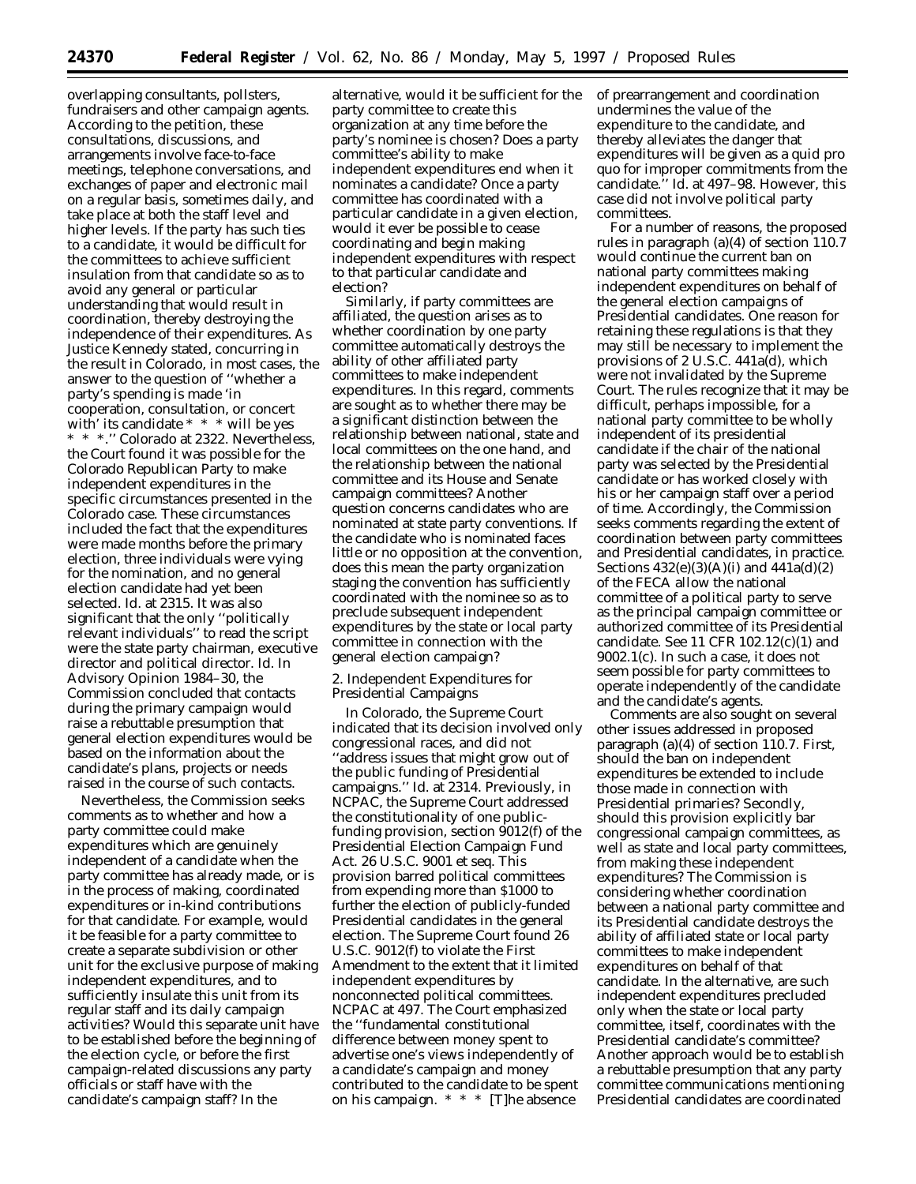overlapping consultants, pollsters, fundraisers and other campaign agents. According to the petition, these consultations, discussions, and arrangements involve face-to-face meetings, telephone conversations, and exchanges of paper and electronic mail on a regular basis, sometimes daily, and take place at both the staff level and higher levels. If the party has such ties to a candidate, it would be difficult for the committees to achieve sufficient insulation from that candidate so as to avoid any general or particular understanding that would result in coordination, thereby destroying the independence of their expenditures. As Justice Kennedy stated, concurring in the result in *Colorado*, in most cases, the answer to the question of ''whether a party's spending is made 'in cooperation, consultation, or concert with' its candidate \* \* \* will be yes \* \* \*.'' *Colorado* at 2322. Nevertheless, the Court found it was possible for the Colorado Republican Party to make independent expenditures in the specific circumstances presented in the *Colorado* case. These circumstances included the fact that the expenditures were made months before the primary election, three individuals were vying for the nomination, and no general election candidate had yet been selected. *Id.* at 2315. It was also significant that the only ''politically relevant individuals'' to read the script were the state party chairman, executive director and political director. *Id.* In Advisory Opinion 1984–30, the Commission concluded that contacts during the primary campaign would raise a rebuttable presumption that general election expenditures would be based on the information about the candidate's plans, projects or needs raised in the course of such contacts.

Nevertheless, the Commission seeks comments as to whether and how a party committee could make expenditures which are genuinely independent of a candidate when the party committee has already made, or is in the process of making, coordinated expenditures or in-kind contributions for that candidate. For example, would it be feasible for a party committee to create a separate subdivision or other unit for the exclusive purpose of making independent expenditures, and to sufficiently insulate this unit from its regular staff and its daily campaign activities? Would this separate unit have to be established before the beginning of the election cycle, or before the first campaign-related discussions any party officials or staff have with the candidate's campaign staff? In the

alternative, would it be sufficient for the party committee to create this organization at any time before the party's nominee is chosen? Does a party committee's ability to make independent expenditures end when it nominates a candidate? Once a party committee has coordinated with a particular candidate in a given election, would it ever be possible to cease coordinating and begin making independent expenditures with respect to that particular candidate and election?

Similarly, if party committees are affiliated, the question arises as to whether coordination by one party committee automatically destroys the ability of other affiliated party committees to make independent expenditures. In this regard, comments are sought as to whether there may be a significant distinction between the relationship between national, state and local committees on the one hand, and the relationship between the national committee and its House and Senate campaign committees? Another question concerns candidates who are nominated at state party conventions. If the candidate who is nominated faces little or no opposition at the convention, does this mean the party organization staging the convention has sufficiently coordinated with the nominee so as to preclude subsequent independent expenditures by the state or local party committee in connection with the general election campaign?

2. Independent Expenditures for Presidential Campaigns

In *Colorado*, the Supreme Court indicated that its decision involved only congressional races, and did not 'address issues that might grow out of the public funding of Presidential campaigns.'' *Id.* at 2314. Previously, in *NCPAC,* the Supreme Court addressed the constitutionality of one publicfunding provision, section 9012(f) of the Presidential Election Campaign Fund Act. 26 U.S.C. 9001 *et seq.* This provision barred political committees from expending more than \$1000 to further the election of publicly-funded Presidential candidates in the general election. The Supreme Court found 26 U.S.C. 9012(f) to violate the First Amendment to the extent that it limited independent expenditures by nonconnected political committees. *NCPAC* at 497. The Court emphasized the ''fundamental constitutional difference between money spent to advertise one's views independently of a candidate's campaign and money contributed to the candidate to be spent on his campaign. \* \* \* [T]he absence

of prearrangement and coordination undermines the value of the expenditure to the candidate, and thereby alleviates the danger that expenditures will be given as a quid pro quo for improper commitments from the candidate.'' *Id.* at 497–98. However, this case did not involve political party committees.

For a number of reasons, the proposed rules in paragraph (a)(4) of section 110.7 would continue the current ban on national party committees making independent expenditures on behalf of the general election campaigns of Presidential candidates. One reason for retaining these regulations is that they may still be necessary to implement the provisions of 2 U.S.C. 441a(d), which were not invalidated by the Supreme Court. The rules recognize that it may be difficult, perhaps impossible, for a national party committee to be wholly independent of its presidential candidate if the chair of the national party was selected by the Presidential candidate or has worked closely with his or her campaign staff over a period of time. Accordingly, the Commission seeks comments regarding the extent of coordination between party committees and Presidential candidates, in practice. Sections  $432(e)(3)(A)(i)$  and  $441a(d)(2)$ of the FECA allow the national committee of a political party to serve as the principal campaign committee or authorized committee of its Presidential candidate. *See* 11 CFR 102.12(c)(1) and 9002.1(c). In such a case, it does not seem possible for party committees to operate independently of the candidate and the candidate's agents.

Comments are also sought on several other issues addressed in proposed paragraph (a)(4) of section 110.7. First, should the ban on independent expenditures be extended to include those made in connection with Presidential primaries? Secondly, should this provision explicitly bar congressional campaign committees, as well as state and local party committees, from making these independent expenditures? The Commission is considering whether coordination between a national party committee and its Presidential candidate destroys the ability of affiliated state or local party committees to make independent expenditures on behalf of that candidate. In the alternative, are such independent expenditures precluded only when the state or local party committee, itself, coordinates with the Presidential candidate's committee? Another approach would be to establish a rebuttable presumption that any party committee communications mentioning Presidential candidates are coordinated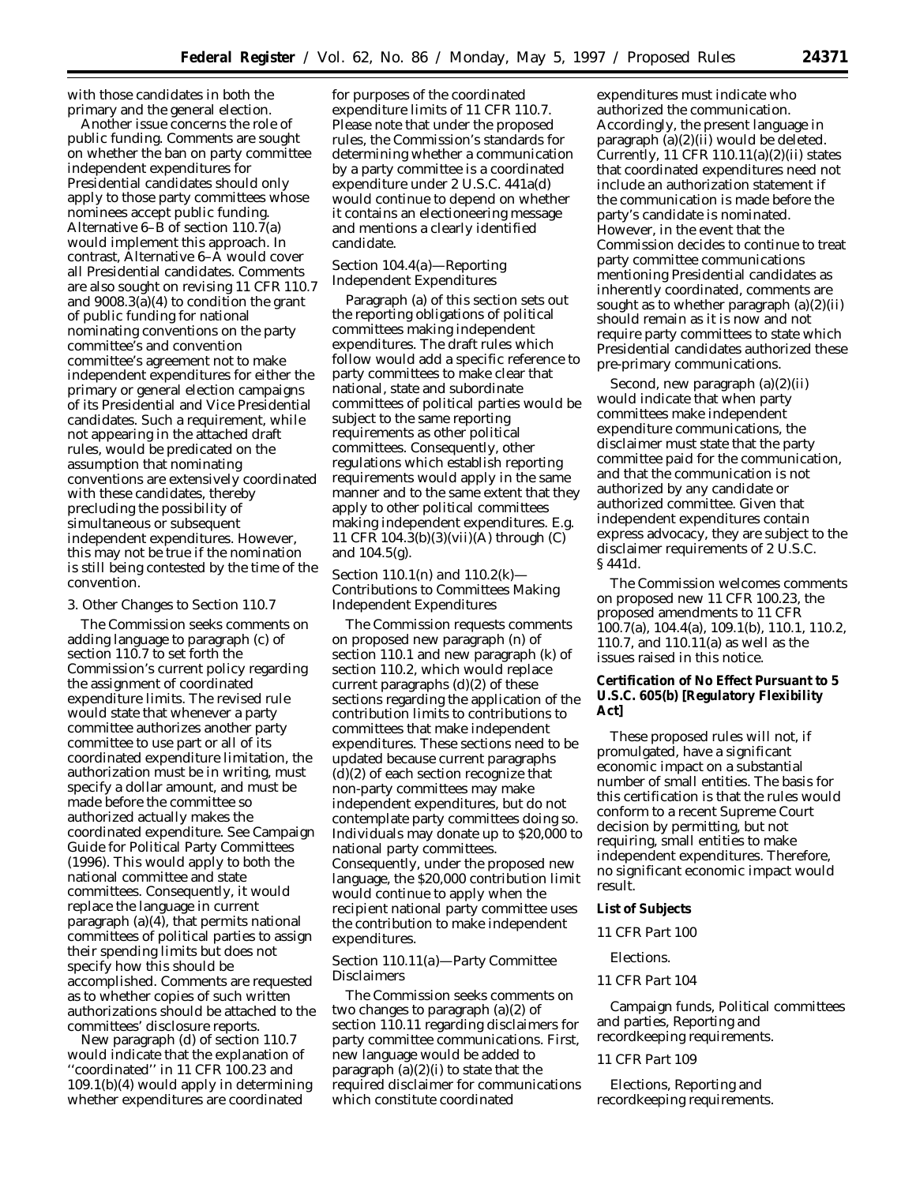with those candidates in both the primary and the general election.

Another issue concerns the role of public funding. Comments are sought on whether the ban on party committee independent expenditures for Presidential candidates should only apply to those party committees whose nominees accept public funding. Alternative 6–B of section 110.7(a) would implement this approach. In contrast, Alternative 6–A would cover all Presidential candidates. Comments are also sought on revising 11 CFR 110.7 and 9008.3(a)(4) to condition the grant of public funding for national nominating conventions on the party committee's and convention committee's agreement not to make independent expenditures for either the primary or general election campaigns of its Presidential and Vice Presidential candidates. Such a requirement, while not appearing in the attached draft rules, would be predicated on the assumption that nominating conventions are extensively coordinated with these candidates, thereby precluding the possibility of simultaneous or subsequent independent expenditures. However, this may not be true if the nomination is still being contested by the time of the convention.

#### 3. Other Changes to Section 110.7

The Commission seeks comments on adding language to paragraph (c) of section 110.7 to set forth the Commission's current policy regarding the assignment of coordinated expenditure limits. The revised rule would state that whenever a party committee authorizes another party committee to use part or all of its coordinated expenditure limitation, the authorization must be in writing, must specify a dollar amount, and must be made before the committee so authorized actually makes the coordinated expenditure. *See* Campaign Guide for Political Party Committees (1996). This would apply to both the national committee and state committees. Consequently, it would replace the language in current paragraph (a)(4), that permits national committees of political parties to assign their spending limits but does not specify how this should be accomplished. Comments are requested as to whether copies of such written authorizations should be attached to the committees' disclosure reports.

New paragraph (d) of section 110.7 would indicate that the explanation of 'coordinated'' in 11 CFR 100.23 and 109.1(b)(4) would apply in determining whether expenditures are coordinated

for purposes of the coordinated expenditure limits of 11 CFR 110.7. Please note that under the proposed rules, the Commission's standards for determining whether a communication by a party committee is a coordinated expenditure under 2 U.S.C. 441a(d) would continue to depend on whether it contains an electioneering message and mentions a clearly identified candidate.

# *Section 104.4(a)—Reporting Independent Expenditures*

Paragraph (a) of this section sets out the reporting obligations of political committees making independent expenditures. The draft rules which follow would add a specific reference to party committees to make clear that national, state and subordinate committees of political parties would be subject to the same reporting requirements as other political committees. Consequently, other regulations which establish reporting requirements would apply in the same manner and to the same extent that they apply to other political committees making independent expenditures. *E.g.* 11 CFR 104.3(b)(3)(vii)(A) through (C) and 104.5(g).

# *Section 110.1(n) and 110.2(k)— Contributions to Committees Making Independent Expenditures*

The Commission requests comments on proposed new paragraph (n) of section 110.1 and new paragraph (k) of section 110.2, which would replace current paragraphs (d)(2) of these sections regarding the application of the contribution limits to contributions to committees that make independent expenditures. These sections need to be updated because current paragraphs (d)(2) of each section recognize that non-party committees may make independent expenditures, but do not contemplate party committees doing so. Individuals may donate up to \$20,000 to national party committees. Consequently, under the proposed new language, the \$20,000 contribution limit would continue to apply when the recipient national party committee uses the contribution to make independent expenditures.

# *Section 110.11(a)—Party Committee Disclaimers*

The Commission seeks comments on two changes to paragraph (a)(2) of section 110.11 regarding disclaimers for party committee communications. First, new language would be added to paragraph  $(a)(2)(i)$  to state that the required disclaimer for communications which constitute coordinated

expenditures must indicate who authorized the communication. Accordingly, the present language in paragraph (a)(2)(ii) would be deleted. Currently,  $11$  CFR  $110.11(a)(2)(ii)$  states that coordinated expenditures need not include an authorization statement if the communication is made before the party's candidate is nominated. However, in the event that the Commission decides to continue to treat party committee communications mentioning Presidential candidates as inherently coordinated, comments are sought as to whether paragraph  $(a)(2)(ii)$ should remain as it is now and not require party committees to state which Presidential candidates authorized these pre-primary communications.

Second, new paragraph (a)(2)(ii) would indicate that when party committees make independent expenditure communications, the disclaimer must state that the party committee paid for the communication, and that the communication is not authorized by any candidate or authorized committee. Given that independent expenditures contain express advocacy, they are subject to the disclaimer requirements of 2 U.S.C. § 441d.

The Commission welcomes comments on proposed new 11 CFR 100.23, the proposed amendments to 11 CFR 100.7(a), 104.4(a), 109.1(b), 110.1, 110.2, 110.7, and 110.11(a) as well as the issues raised in this notice.

# **Certification of No Effect Pursuant to 5 U.S.C. 605(b) [Regulatory Flexibility Act]**

These proposed rules will not, if promulgated, have a significant economic impact on a substantial number of small entities. The basis for this certification is that the rules would conform to a recent Supreme Court decision by permitting, but not requiring, small entities to make independent expenditures. Therefore, no significant economic impact would result.

# **List of Subjects**

#### *11 CFR Part 100*

#### Elections.

#### *11 CFR Part 104*

Campaign funds, Political committees and parties, Reporting and recordkeeping requirements.

# *11 CFR Part 109*

Elections, Reporting and recordkeeping requirements.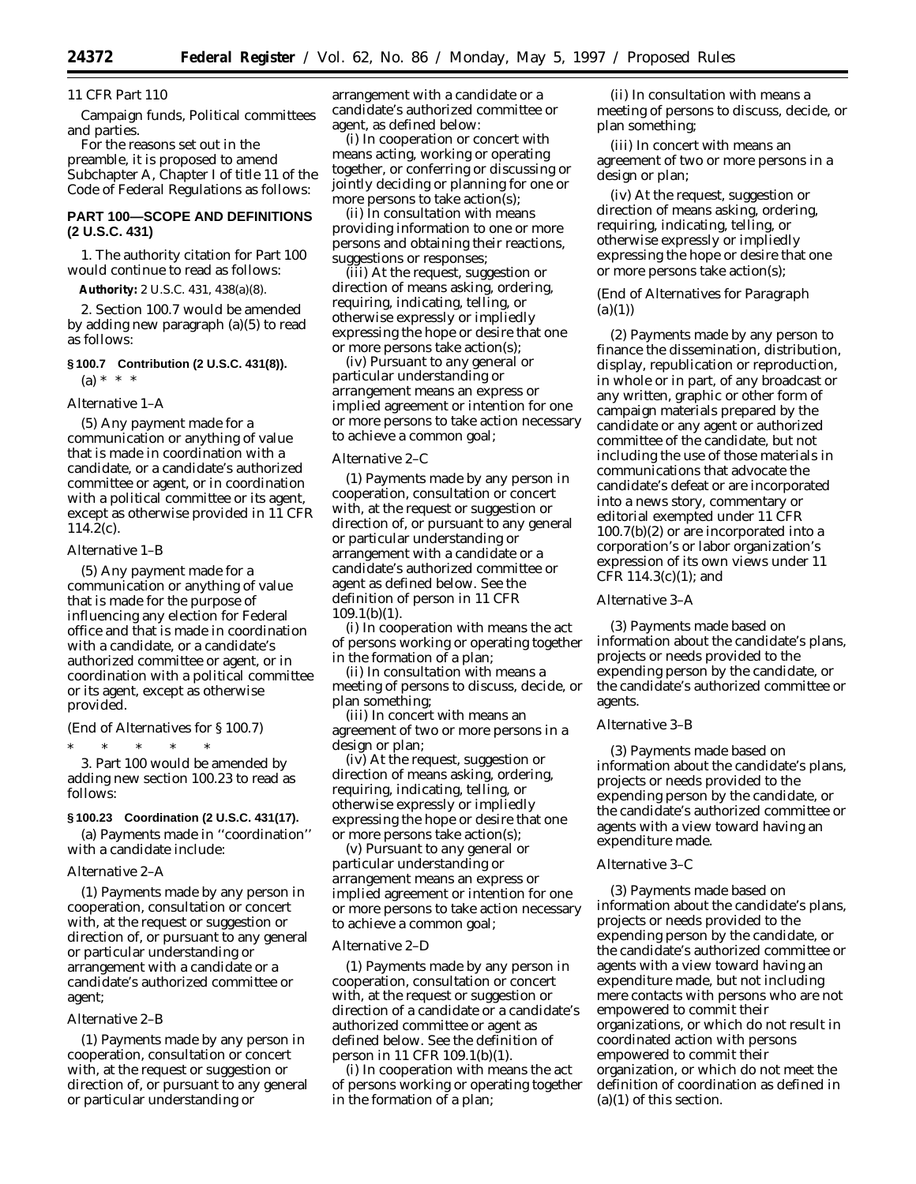#### *11 CFR Part 110*

Campaign funds, Political committees and parties.

For the reasons set out in the preamble, it is proposed to amend Subchapter A, Chapter I of title 11 of the *Code of Federal Regulations* as follows:

# **PART 100—SCOPE AND DEFINITIONS (2 U.S.C. 431)**

1. The authority citation for Part 100 would continue to read as follows:

**Authority:** 2 U.S.C. 431, 438(a)(8).

2. Section 100.7 would be amended by adding new paragraph (a)(5) to read as follows:

# **§ 100.7 Contribution (2 U.S.C. 431(8)).**  $(a) * * * *$

*Alternative 1–A*

(5) Any payment made for a communication or anything of value that is made in coordination with a candidate, or a candidate's authorized committee or agent, or in coordination with a political committee or its agent, except as otherwise provided in 11 CFR  $114.2(c)$ .

# *Alternative 1–B*

(5) Any payment made for a communication or anything of value that is made for the purpose of influencing any election for Federal office and that is made in coordination with a candidate, or a candidate's authorized committee or agent, or in coordination with a political committee or its agent, except as otherwise provided.

*(End of Alternatives for § 100.7)*

\* \* \* \* \* 3. Part 100 would be amended by adding new section 100.23 to read as follows:

#### **§ 100.23 Coordination (2 U.S.C. 431(17).**

(a) Payments made in ''coordination'' with a candidate include:

#### *Alternative 2–A*

(1) Payments made by any person in cooperation, consultation or concert with, at the request or suggestion or direction of, or pursuant to any general or particular understanding or arrangement with a candidate or a candidate's authorized committee or agent;

#### *Alternative 2–B*

(1) Payments made by any person in cooperation, consultation or concert with, at the request or suggestion or direction of, or pursuant to any general or particular understanding or

arrangement with a candidate or a candidate's authorized committee or agent, as defined below:

(i) *In cooperation or concert with* means acting, working or operating together, or conferring or discussing or jointly deciding or planning for one or more persons to take action(s);

(ii) *In consultation with* means providing information to one or more persons and obtaining their reactions, suggestions or responses;

(iii) *At the request, suggestion or direction of* means asking, ordering, requiring, indicating, telling, or otherwise expressly or impliedly expressing the hope or desire that one or more persons take action(s);

(iv) *Pursuant to any general or particular understanding or arrangement* means an express or implied agreement or intention for one or more persons to take action necessary to achieve a common goal;

# *Alternative 2–C*

(1) Payments made by any person in cooperation, consultation or concert with, at the request or suggestion or direction of, or pursuant to any general or particular understanding or arrangement with a candidate or a candidate's authorized committee or agent as defined below. *See* the definition of person in 11 CFR 109.1(b)(1).

(i) *In cooperation with* means the act of persons working or operating together in the formation of a plan;

(ii) *In consultation with* means a meeting of persons to discuss, decide, or plan something;

(iii) *In concert with* means an agreement of two or more persons in a design or plan;

(iv) *At the request, suggestion or direction of* means asking, ordering, requiring, indicating, telling, or otherwise expressly or impliedly expressing the hope or desire that one or more persons take action(s);

(v) *Pursuant to any general or particular understanding or arrangement* means an express or implied agreement or intention for one or more persons to take action necessary to achieve a common goal;

#### *Alternative 2–D*

(1) Payments made by any person in cooperation, consultation or concert with, at the request or suggestion or direction of a candidate or a candidate's authorized committee or agent as defined below. *See* the definition of person in 11 CFR 109.1(b)(1).

(i) *In cooperation with* means the act of persons working or operating together in the formation of a plan;

(ii) *In consultation with* means a meeting of persons to discuss, decide, or plan something;

(iii) *In concert with* means an agreement of two or more persons in a design or plan;

(iv) *At the request, suggestion or direction of* means asking, ordering, requiring, indicating, telling, or otherwise expressly or impliedly expressing the hope or desire that one or more persons take action(s);

# *(End of Alternatives for Paragraph (a)(1))*

(2) Payments made by any person to finance the dissemination, distribution, display, republication or reproduction, in whole or in part, of any broadcast or any written, graphic or other form of campaign materials prepared by the candidate or any agent or authorized committee of the candidate, but not including the use of those materials in communications that advocate the candidate's defeat or are incorporated into a news story, commentary or editorial exempted under 11 CFR 100.7(b)(2) or are incorporated into a corporation's or labor organization's expression of its own views under 11 CFR 114.3(c)(1); and

# *Alternative 3–A*

(3) Payments made based on information about the candidate's plans, projects or needs provided to the expending person by the candidate, or the candidate's authorized committee or agents.

#### *Alternative 3–B*

(3) Payments made based on information about the candidate's plans, projects or needs provided to the expending person by the candidate, or the candidate's authorized committee or agents with a view toward having an expenditure made.

#### *Alternative 3–C*

(3) Payments made based on information about the candidate's plans, projects or needs provided to the expending person by the candidate, or the candidate's authorized committee or agents with a view toward having an expenditure made, but not including mere contacts with persons who are not empowered to commit their organizations, or which do not result in coordinated action with persons empowered to commit their organization, or which do not meet the definition of coordination as defined in (a)(1) of this section.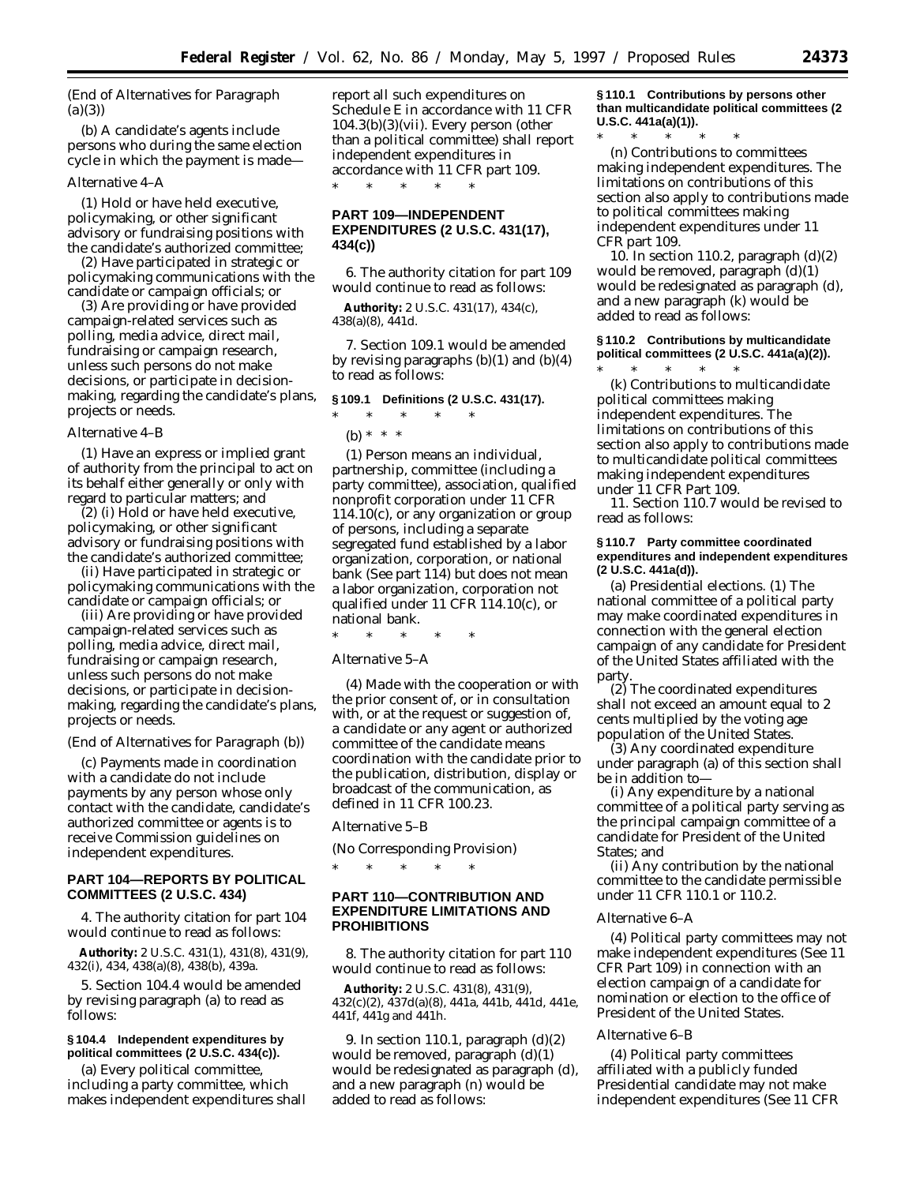# *(End of Alternatives for Paragraph (a)(3))*

(b) A candidate's agents include persons who during the same election cycle in which the payment is made—

#### *Alternative 4–A*

(1) Hold or have held executive, policymaking, or other significant advisory or fundraising positions with the candidate's authorized committee;

(2) Have participated in strategic or policymaking communications with the candidate or campaign officials; or

(3) Are providing or have provided campaign-related services such as polling, media advice, direct mail, fundraising or campaign research, unless such persons do not make decisions, or participate in decisionmaking, regarding the candidate's plans, projects or needs.

#### *Alternative 4–B*

(1) Have an express or implied grant of authority from the principal to act on its behalf either generally or only with regard to particular matters; and

(2) (i) Hold or have held executive, policymaking, or other significant advisory or fundraising positions with the candidate's authorized committee;

(ii) Have participated in strategic or policymaking communications with the candidate or campaign officials; or

(iii) Are providing or have provided campaign-related services such as polling, media advice, direct mail, fundraising or campaign research, unless such persons do not make decisions, or participate in decisionmaking, regarding the candidate's plans, projects or needs.

#### *(End of Alternatives for Paragraph (b))*

(c) Payments made in coordination with a candidate do not include payments by any person whose only contact with the candidate, candidate's authorized committee or agents is to receive Commission guidelines on independent expenditures.

# **PART 104—REPORTS BY POLITICAL COMMITTEES (2 U.S.C. 434)**

4. The authority citation for part 104 would continue to read as follows:

**Authority:** 2 U.S.C. 431(1), 431(8), 431(9), 432(i), 434, 438(a)(8), 438(b), 439a.

5. Section 104.4 would be amended by revising paragraph (a) to read as follows:

# **§ 104.4 Independent expenditures by political committees (2 U.S.C. 434(c)).**

(a) Every political committee, including a party committee, which makes independent expenditures shall report all such expenditures on Schedule E in accordance with 11 CFR 104.3(b)(3)(vii). Every person (other than a political committee) shall report independent expenditures in accordance with 11 CFR part 109. \* \* \* \* \*

# **PART 109—INDEPENDENT EXPENDITURES (2 U.S.C. 431(17), 434(c))**

6. The authority citation for part 109 would continue to read as follows:

**Authority:** 2 U.S.C. 431(17), 434(c), 438(a)(8), 441d.

7. Section 109.1 would be amended by revising paragraphs (b)(1) and (b)(4) to read as follows:

# **§ 109.1 Definitions (2 U.S.C. 431(17).**

# $*$  \* \*

(b) \* \* \*

(1) *Person* means an individual, partnership, committee (including a party committee), association, qualified nonprofit corporation under 11 CFR 114.10(c), or any organization or group of persons, including a separate segregated fund established by a labor organization, corporation, or national bank (*See* part 114) but does not mean a labor organization, corporation not qualified under 11 CFR 114.10(c), or national bank.

\* \* \* \* \*

#### *Alternative 5–A*

(4) *Made with the cooperation or with the prior consent of, or in consultation with, or at the request or suggestion of, a candidate or any agent or authorized committee of the candidate* means coordination with the candidate prior to the publication, distribution, display or broadcast of the communication, as defined in 11 CFR 100.23.

#### *Alternative 5–B*

(No Corresponding Provision)

\* \* \* \* \*

# **PART 110—CONTRIBUTION AND EXPENDITURE LIMITATIONS AND PROHIBITIONS**

8. The authority citation for part 110 would continue to read as follows:

**Authority:** 2 U.S.C. 431(8), 431(9), 432(c)(2), 437d(a)(8), 441a, 441b, 441d, 441e, 441f, 441g and 441h.

9. In section 110.1, paragraph (d)(2) would be removed, paragraph (d)(1) would be redesignated as paragraph (d), and a new paragraph (n) would be added to read as follows:

**§ 110.1 Contributions by persons other than multicandidate political committees (2 U.S.C. 441a(a)(1)).** \* \* \* \* \*

(n) Contributions to committees making independent expenditures. The limitations on contributions of this section also apply to contributions made to political committees making independent expenditures under 11 CFR part 109.

10. In section 110.2, paragraph (d)(2) would be removed, paragraph (d)(1) would be redesignated as paragraph (d), and a new paragraph (k) would be added to read as follows:

# **§ 110.2 Contributions by multicandidate political committees (2 U.S.C. 441a(a)(2)).**

\* \* \* \* \* (k) Contributions to multicandidate political committees making independent expenditures. The limitations on contributions of this section also apply to contributions made to multicandidate political committees making independent expenditures under 11 CFR Part 109.

11. Section 110.7 would be revised to read as follows:

#### **§ 110.7 Party committee coordinated expenditures and independent expenditures (2 U.S.C. 441a(d)).**

(a) *Presidential elections.* (1) The national committee of a political party may make coordinated expenditures in connection with the general election campaign of any candidate for President of the United States affiliated with the party.

(2) The coordinated expenditures shall not exceed an amount equal to 2 cents multiplied by the voting age population of the United States.

(3) Any coordinated expenditure under paragraph (a) of this section shall be in addition to—

(i) Any expenditure by a national committee of a political party serving as the principal campaign committee of a candidate for President of the United States; and

(ii) Any contribution by the national committee to the candidate permissible under 11 CFR 110.1 or 110.2.

#### *Alternative 6–A*

(4) Political party committees may not make independent expenditures (*See* 11 CFR Part 109) in connection with an election campaign of a candidate for nomination or election to the office of President of the United States.

#### *Alternative 6–B*

(4) Political party committees affiliated with a publicly funded Presidential candidate may not make independent expenditures (*See* 11 CFR